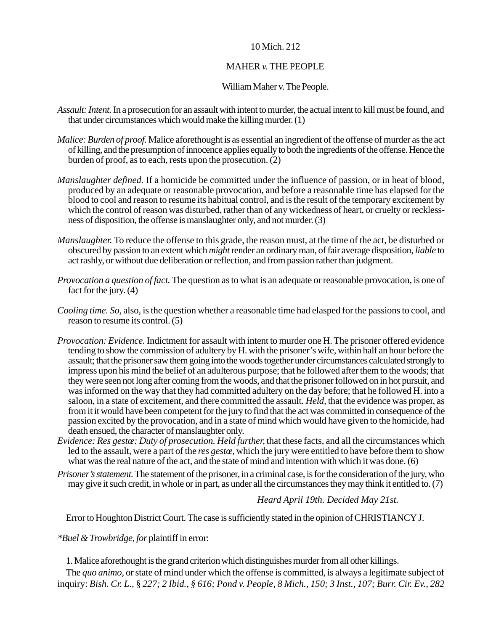# 10 Mich. 212

# MAHER *v.* THE PEOPLE

# William Maher v. The People.

- *Assault: Intent.* In a prosecution for an assault with intent to murder, the actual intent to kill must be found, and that under circumstances which would make the killing murder. (1)
- *Malice: Burden of proof.* Malice aforethought is as essential an ingredient of the offense of murder as the act of killing, and the presumption of innocence applies equally to both the ingredients of the offense. Hence the burden of proof, as to each, rests upon the prosecution. (2)
- *Manslaughter defined.* If a homicide be committed under the influence of passion, or in heat of blood, produced by an adequate or reasonable provocation, and before a reasonable time has elapsed for the blood to cool and reason to resume its habitual control, and is the result of the temporary excitement by which the control of reason was disturbed, rather than of any wickedness of heart, or cruelty or recklessness of disposition, the offense is manslaughter only, and not murder. (3)
- *Manslaughter.* To reduce the offense to this grade, the reason must, at the time of the act, be disturbed or obscured by passion to an extent which *might* render an ordinary man, of fair average disposition, *liable* to act rashly, or without due deliberation or reflection, and from passion rather than judgment.
- *Provocation a question of fact.* The question as to what is an adequate or reasonable provocation, is one of fact for the jury. (4)
- *Cooling time. So,* also, is the question whether a reasonable time had elasped for the passions to cool, and reason to resume its control. (5)
- *Provocation: Evidence.* Indictment for assault with intent to murder one H. The prisoner offered evidence tending to show the commission of adultery by H. with the prisoner's wife, within half an hour before the assault; that the prisoner saw them going into the woods together under circumstances calculated strongly to impress upon his mind the belief of an adulterous purpose; that he followed after them to the woods; that they were seen not long after coming from the woods, and that the prisoner followed on in hot pursuit, and was informed on the way that they had committed adultery on the day before; that he followed H. into a saloon, in a state of excitement, and there committed the assault. *Held,* that the evidence was proper, as from it it would have been competent for the jury to find that the act was committed in consequence of the passion excited by the provocation, and in a state of mind which would have given to the homicide, had death ensued, the character of manslaughter only.
- *Evidence: Res gestœ: Duty of prosecution. Held further, that these facts, and all the circumstances which* led to the assault, were a part of the *res gestœ,* which the jury were entitled to have before them to show what was the real nature of the act, and the state of mind and intention with which it was done. (6)
- *Prisoner's statement.* The statement of the prisoner, in a criminal case, is for the consideration of the jury, who may give it such credit, in whole or in part, as under all the circumstances they may think it entitled to. (7)

 *Heard April 19th. Decided May 21st.*

Error to Houghton District Court. The case is sufficiently stated in the opinion of CHRISTIANCY J.

*\*Buel & Trowbridge, for* plaintiff in error:

1. Malice aforethought is the grand criterion which distinguishes murder from all other killings.

The *quo animo,* or state of mind under which the offense is committed, is always a legitimate subject of inquiry: *Bish. Cr. L.,* § *227; 2 Ibid., § 616; Pond v. People, 8 Mich., 150; 3 Inst., 107; Burr. Cir. Ev., 282*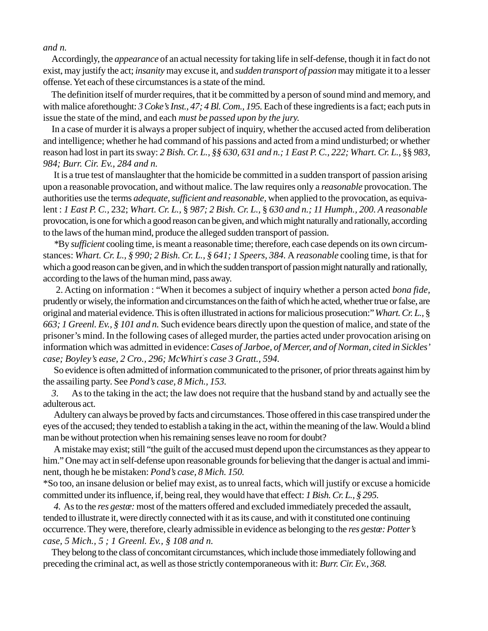*and n.*

Accordingly, the *appearance* of an actual necessity for taking life in self-defense, though it in fact do not exist, may justify the act; *insanity* may excuse it, and *sudden transport of passion* may mitigate it to a lesser offense. Yet each of these circumstances is a state of the mind.

 The definition itself of murder requires, that it be committed by a person of sound mind and memory, and with malice aforethought: *3 Coke's Inst., 47; 4 Bl. Com., 195.* Each of these ingredients is a fact; each puts in issue the state of the mind, and each *must be passed upon by the jury.*

 In a case of murder it is always a proper subject of inquiry, whether the accused acted from deliberation and intelligence; whether he had command of his passions and acted from a mind undisturbed; or whether reason had lost in part its sway: *2 Bish. Cr. L., §§ 630, 631 and n.; 1 East P. C., 222; Whart. Cr. L.,* §§ *983, 984; Burr. Cir. Ev., 284 and n.*

It is a true test of manslaughter that the homicide be committed in a sudden transport of passion arising upon a reasonable provocation, and without malice. The law requires only a *reasonable* provocation. The authorities use the terms *adequate, sufficient and reasonable,* when applied to the provocation, as equivalent : *1 East P. C.,* 232; *Whart. Cr. L.,* § *987; 2 Bish. Cr. L.,* § *630 and n.; 11 Humph., 200. A reasonable* provocation, is one for which a good reason can be given, and which might naturally and rationally, according to the laws of the human mind, produce the alleged sudden transport of passion.

*\**By *sufficient* cooling time, is meant a reasonable time; therefore, each case depends on its own circumstances: *Whart. Cr. L., § 990; 2 Bish. Cr. L., § 641; 1 Speers, 384.* A *reasonable* cooling time, is that for which a good reason can be given, and in which the sudden transport of passion might naturally and rationally, according to the laws of the human mind, pass away.

 2. Acting on information : "When it becomes a subject of inquiry whether a person acted *bona fide,* prudently or wisely, the information and circumstances on the faith of which he acted, whether true or false, are original and material evidence. This is often illustrated in actions for malicious prosecution:" *Whart. Cr. L.,* § *663; 1 Greenl. Ev., § 101 and n.* Such evidence bears directly upon the question of malice, and state of the prisoner's mind. In the following cases of alleged murder, the parties acted under provocation arising on information which was admitted in evidence: *Cases of Jarboe, of Mercer, and of Norman, cited in Sickles' case; Boyley's ease, 2 Cro., 296; McWhirt' s case 3 Gratt., 594.*

So evidence is often admitted of information communicated to the prisoner, of prior threats against him by the assailing party. See *Pond's case, 8 Mich., 153.*

*3.* As to the taking in the act; the law does not require that the husband stand by and actually see the adulterous act.

Adultery can always be proved by facts and circumstances. Those offered in this case transpired under the eyes of the accused; they tended to establish a taking in the act, within the meaning of the law. Would a blind man be without protection when his remaining senses leave no room for doubt?

A mistake may exist; still "the guilt of the accused must depend upon the circumstances as they appear to him." One may act in self-defense upon reasonable grounds for believing that the danger is actual and imminent, though he be mistaken: *Pond's case, 8 Mich. 150.*

\*So too, an insane delusion or belief may exist, as to unreal facts, which will justify or excuse a homicide committed under its influence, if, being real, they would have that effect: *1 Bish. Cr. L., § 295.*

*4.* As to the *res gestœ:* most of the matters offered and excluded immediately preceded the assault, tended to illustrate it, were directly connected with it as its cause, and with it constituted one continuing occurrence. They were, therefore, clearly admissible in evidence as belonging to the *res gestœ: Potter's case, 5 Mich., 5 ; 1 Greenl. Ev., § 108 and n.*

They belong to the class of concomitant circumstances, which include those immediately following and preceding the criminal act, as well as those strictly contemporaneous with it: *Burr. Cir. Ev., 368.*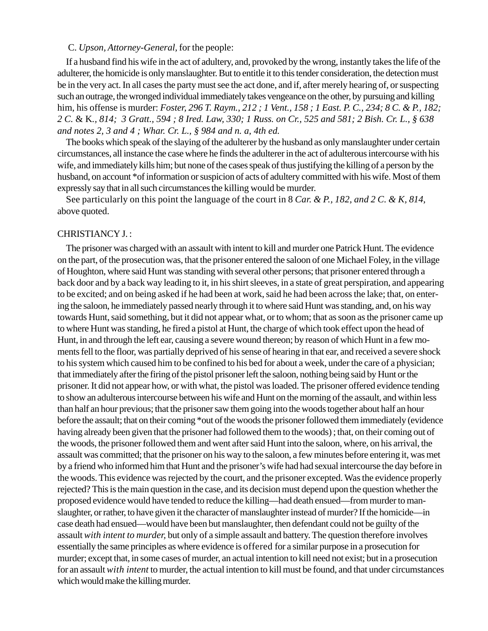### C. *Upson, Attorney-General,* for the people:

If a husband find his wife in the act of adultery, and, provoked by the wrong, instantly takes the life of the adulterer, the homicide is only manslaughter. But to entitle it to this tender consideration, the detection must be in the very act. In all cases the party must see the act done, and if, after merely hearing of, or suspecting such an outrage, the wronged individual immediately takes vengeance on the other, by pursuing and killing him, his offense is murder: *Foster, 296 T. Raym., 212 ; 1 Vent., 158 ; 1 East. P. C., 234; 8 C. & P., 182; 2 C.* & K*., 814; 3 Gratt., 594 ; 8 Ired. Law, 330; 1 Russ. on Cr., 525 and 581; 2 Bish. Cr. L., § 638 and notes 2, 3 and 4 ; Whar. Cr. L., § 984 and n. a, 4th ed.*

The books which speak of the slaying of the adulterer by the husband as only manslaughter under certain circumstances, all instance the case where he finds the adulterer in the act of adulterous intercourse with his wife, and immediately kills him; but none of the cases speak of thus justifying the killing of a person by the husband, on account \*of information or suspicion of acts of adultery committed with his wife. Most of them expressly say that in all such circumstances the killing would be murder.

See particularly on this point the language of the court in 8 *Car. & P., 182, and 2 C. & K, 814,* above quoted.

#### CHRISTIANCY J. :

The prisoner was charged with an assault with intent to kill and murder one Patrick Hunt. The evidence on the part, of the prosecution was, that the prisoner entered the saloon of one Michael Foley, in the village of Houghton, where said Hunt was standing with several other persons; that prisoner entered through a back door and by a back way leading to it, in his shirt sleeves, in a state of great perspiration, and appearing to be excited; and on being asked if he had been at work, said he had been across the lake; that, on entering the saloon, he immediately passed nearly through it to where said Hunt was standing, and, on his way towards Hunt, said something, but it did not appear what, or to whom; that as soon as the prisoner came up to where Hunt was standing, he fired a pistol at Hunt, the charge of which took effect upon the head of Hunt, in and through the left ear, causing a severe wound thereon; by reason of which Hunt in a few moments fell to the floor, was partially deprived of his sense of hearing in that ear, and received a severe shock to his system which caused him to be confined to his bed for about a week, under the care of a physician; that immediately after the firing of the pistol prisoner left the saloon, nothing being said by Hunt or the prisoner. It did not appear how, or with what, the pistol was loaded. The prisoner offered evidence tending to show an adulterous intercourse between his wife and Hunt on the morning of the assault, and within less than half an hour previous; that the prisoner saw them going into the woods together about half an hour before the assault; that on their coming \*out of the woods the prisoner followed them immediately (evidence having already been given that the prisoner had followed them to the woods) ; that, on their coming out of the woods, the prisoner followed them and went after said Hunt into the saloon, where, on his arrival, the assault was committed; that the prisoner on his way to the saloon, a few minutes before entering it, was met by a friend who informed him that Hunt and the prisoner's wife had had sexual intercourse the day before in the woods. This evidence was rejected by the court, and the prisoner excepted. Was the evidence properly rejected? This is the main question in the case, and its decision must depend upon the question whether the proposed evidence would have tended to reduce the killing—had death ensued—from murder to manslaughter, or rather, to have given it the character of manslaughter instead of murder? If the homicide—in case death had ensued—would have been but manslaughter, then defendant could not be guilty of the assault *with intent to murder,* but only of a simple assault and battery. The question therefore involves essentially the same principles as where evidence is offered for a similar purpose in a prosecution for murder; except that, in some cases of murder, an actual intention to kill need not exist; but in a prosecution for an assault *with intent* to murder, the actual intention to kill must be found, and that under circumstances which would make the killing murder.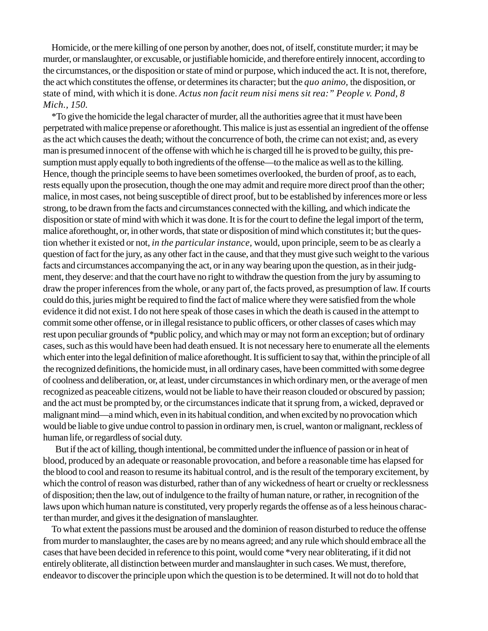Homicide, or the mere killing of one person by another, does not, of itself, constitute murder; it may be murder, or manslaughter, or excusable, or justifiable homicide, and therefore entirely innocent, according to the circumstances, or the disposition or state of mind or purpose, which induced the act. It is not, therefore, the act which constitutes the offense, or determines its character; but the *quo animo,* the disposition, or state of mind, with which it is done. *Actus non facit reum nisi mens sit rea:" People v. Pond, 8 Mich., 150.*

\*To give the homicide the legal character of murder, all the authorities agree that it must have been perpetrated with malice prepense or aforethought. This malice is just as essential an ingredient of the offense as the act which causes the death; without the concurrence of both, the crime can not exist; and, as every man is presumed innocent of the offense with which he is charged till he is proved to be guilty, this presumption must apply equally to both ingredients of the offense—to the malice as well as to the killing. Hence, though the principle seems to have been sometimes overlooked, the burden of proof, as to each, rests equally upon the prosecution, though the one may admit and require more direct proof than the other; malice, in most cases, not being susceptible of direct proof, but to be established by inferences more or less strong, to be drawn from the facts and circumstances connected with the killing, and which indicate the disposition or state of mind with which it was done. It is for the court to define the legal import of the term, malice aforethought, or, in other words, that state or disposition of mind which constitutes it; but the question whether it existed or not, *in the particular instance,* would, upon principle, seem to be as clearly a question of fact for the jury, as any other fact in the cause, and that they must give such weight to the various facts and circumstances accompanying the act, or in any way bearing upon the question, as in their judgment, they deserve: and that the court have no right to withdraw the question from the jury by assuming to draw the proper inferences from the whole, or any part of, the facts proved, as presumption of law. If courts could do this, juries might be required to find the fact of malice where they were satisfied from the whole evidence it did not exist. I do not here speak of those cases in which the death is caused in the attempt to commit some other offense, or in illegal resistance to public officers, or other classes of cases which may rest upon peculiar grounds of \*public policy, and which may or may not form an exception; but of ordinary cases, such as this would have been had death ensued. It is not necessary here to enumerate all the elements which enter into the legal definition of malice aforethought. It is sufficient to say that, within the principle of all the recognized definitions, the homicide must, in all ordinary cases, have been committed with some degree of coolness and deliberation, or, at least, under circumstances in which ordinary men, or the average of men recognized as peaceable citizens, would not be liable to have their reason clouded or obscured by passion; and the act must be prompted by, or the circumstances indicate that it sprung from, a wicked, depraved or malignant mind—a mind which, even in its habitual condition, and when excited by no provocation which would be liable to give undue control to passion in ordinary men, is cruel, wanton or malignant, reckless of human life, or regardless of social duty.

 But if the act of killing, though intentional, be committed under the influence of passion or in heat of blood, produced by an adequate or reasonable provocation, and before a reasonable time has elapsed for the blood to cool and reason to resume its habitual control, and is the result of the temporary excitement, by which the control of reason was disturbed, rather than of any wickedness of heart or cruelty or recklessness of disposition; then the law, out of indulgence to the frailty of human nature, or rather, in recognition of the laws upon which human nature is constituted, very properly regards the offense as of a less heinous character than murder, and gives it the designation of manslaughter.

To what extent the passions must be aroused and the dominion of reason disturbed to reduce the offense from murder to manslaughter, the cases are by no means agreed; and any rule which should embrace all the cases that have been decided in reference to this point, would come \*very near obliterating, if it did not entirely obliterate, all distinction between murder and manslaughter in such cases. We must, therefore, endeavor to discover the principle upon which the question is to be determined. It will not do to hold that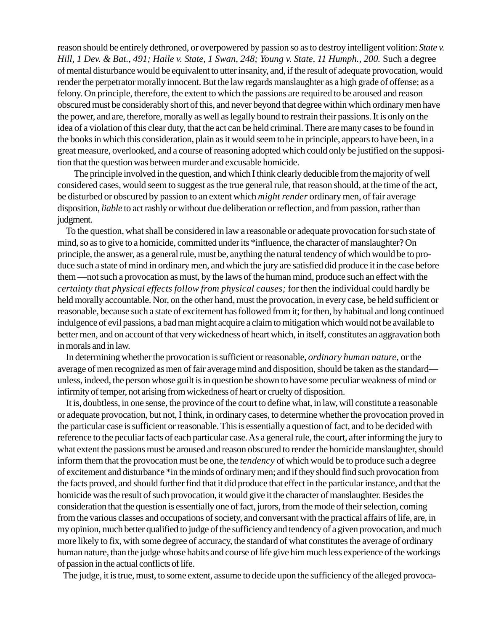reason should be entirely dethroned, or overpowered by passion so as to destroy intelligent volition: *State v. Hill, 1 Dev. & Bat., 491; Haile v. State, 1 Swan, 248; Young v. State, 11 Humph., 200.* Such a degree of mental disturbance would be equivalent to utter insanity, and, if the result of adequate provocation, would render the perpetrator morally innocent. But the law regards manslaughter as a high grade of offense; as a felony. On principle, therefore, the extent to which the passions are required to be aroused and reason obscured must be considerably short of this, and never beyond that degree within which ordinary men have the power, and are, therefore, morally as well as legally bound to restrain their passions. It is only on the idea of a violation of this clear duty, that the act can be held criminal. There are many cases to be found in the books in which this consideration, plain as it would seem to be in principle, appears to have been, in a great measure, overlooked, and a course of reasoning adopted which could only be justified on the supposition that the question was between murder and excusable homicide.

 The principle involved in the question, and which I think clearly deducible from the majority of well considered cases, would seem to suggest as the true general rule, that reason should, at the time of the act, be disturbed or obscured by passion to an extent which *might render* ordinary men, of fair average disposition, *liable* to act rashly or without due deliberation or reflection, and from passion, rather than judgment.

To the question, what shall be considered in law a reasonable or adequate provocation for such state of mind, so as to give to a homicide, committed under its \*influence, the character of manslaughter? On principle, the answer, as a general rule, must be, anything the natural tendency of which would be to produce such a state of mind in ordinary men, and which the jury are satisfied did produce it in the case before them —not such a provocation as must, by the laws of the human mind, produce such an effect with the *certainty that physical effects follow from physical causes;* for then the individual could hardly be held morally accountable. Nor, on the other hand, must the provocation, in every case, be held sufficient or reasonable, because such a state of excitement has followed from it; for then, by habitual and long continued indulgence of evil passions, a bad man might acquire a claim to mitigation which would not be available to better men, and on account of that very wickedness of heart which, in itself, constitutes an aggravation both in morals and in law.

In determining whether the provocation is sufficient or reasonable, *ordinary human nature,* or the average of men recognized as men of fair average mind and disposition, should be taken as the standard unless, indeed, the person whose guilt is in question be shown to have some peculiar weakness of mind or infirmity of temper, not arising from wickedness of heart or cruelty of disposition.

It is, doubtless, in one sense, the province of the court to define what, in law, will constitute a reasonable or adequate provocation, but not, I think, in ordinary cases, to determine whether the provocation proved in the particular case is sufficient or reasonable. This is essentially a question of fact, and to be decided with reference to the peculiar facts of each particular case. As a general rule, the court, after informing the jury to what extent the passions must be aroused and reason obscured to render the homicide manslaughter, should inform them that the provocation must be one, the *tendency* of which would be to produce such a degree of excitement and disturbance \*in the minds of ordinary men; and if they should find such provocation from the facts proved, and should further find that it did produce that effect in the particular instance, and that the homicide was the result of such provocation, it would give it the character of manslaughter. Besides the consideration that the question is essentially one of fact, jurors, from the mode of their selection, coming from the various classes and occupations of society, and conversant with the practical affairs of life, are, in my opinion, much better qualified to judge of the sufficiency and tendency of a given provocation, and much more likely to fix, with some degree of accuracy, the standard of what constitutes the average of ordinary human nature, than the judge whose habits and course of life give him much less experience of the workings of passion in the actual conflicts of life.

The judge, it is true, must, to some extent, assume to decide upon the sufficiency of the alleged provoca-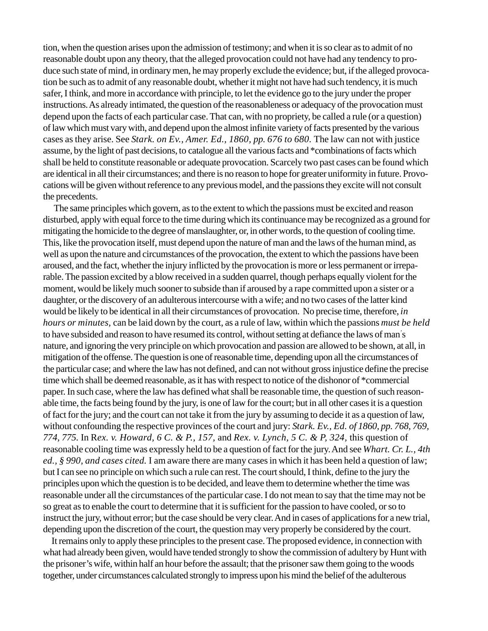tion, when the question arises upon the admission of testimony; and when it is so clear as to admit of no reasonable doubt upon any theory, that the alleged provocation could not have had any tendency to produce such state of mind, in ordinary men, he may properly exclude the evidence; but, if the alleged provocation be such as to admit of any reasonable doubt, whether it might not have had such tendency, it is much safer, I think, and more in accordance with principle, to let the evidence go to the jury under the proper instructions. As already intimated, the question of the reasonableness or adequacy of the provocation must depend upon the facts of each particular case. That can, with no propriety, be called a rule (or a question) of law which must vary with, and depend upon the almost infinite variety of facts presented by the various cases as they arise. See *Stark. on Ev., Amer. Ed., 1860, pp. 676 to 680.* The law can not with justice assume, by the light of past decisions, to catalogue all the various facts and \*combinations of facts which shall be held to constitute reasonable or adequate provocation. Scarcely two past cases can be found which are identical in all their circumstances; and there is no reason to hope for greater uniformity in future. Provocations will be given without reference to any previous model, and the passions they excite will not consult the precedents.

The same principles which govern, as to the extent to which the passions must be excited and reason disturbed, apply with equal force to the time during which its continuance may be recognized as a ground for mitigating the homicide to the degree of manslaughter, or, in other words, to the question of cooling time. This, like the provocation itself, must depend upon the nature of man and the laws of the human mind, as well as upon the nature and circumstances of the provocation, the extent to which the passions have been aroused, and the fact, whether the injury inflicted by the provocation is more or less permanent or irreparable. The passion excited by a blow received in a sudden quarrel, though perhaps equally violent for the moment, would be likely much sooner to subside than if aroused by a rape committed upon a sister or a daughter, or the discovery of an adulterous intercourse with a wife; and no two cases of the latter kind would be likely to be identical in all their circumstances of provocation. No precise time, therefore, *in hours or minutes,* can be laid down by the court, as a rule of law, within which the passions *must be held* to have subsided and reason to have resumed its control, without setting at defiance the laws of man' s nature, and ignoring the very principle on which provocation and passion are allowed to be shown, at all, in mitigation of the offense. The question is one of reasonable time, depending upon all the circumstances of the particular case; and where the law has not defined, and can not without gross injustice define the precise time which shall be deemed reasonable, as it has with respect to notice of the dishonor of \*commercial paper. In such case, where the law has defined what shall be reasonable time, the question of such reasonable time, the facts being found by the jury, is one of law for the court; but in all other cases it is a question of fact for the jury; and the court can not take it from the jury by assuming to decide it as a question of law, without confounding the respective provinces of the court and jury: *Stark. Ev., Ed. of 1860, pp. 768, 769, 774, 775.* In R*ex. v. Howard, 6 C. & P., 157,* and *Rex. v. Lynch, 5 C. & P, 324,* this question of reasonable cooling time was expressly held to be a question of fact for the jury. And see *Whart. Cr. L., 4th ed., § 990, and cases cited.* I am aware there are many cases in which it has been held a question of law; but I can see no principle on which such a rule can rest. The court should, I think, define to the jury the principles upon which the question is to be decided, and leave them to determine whether the time was reasonable under all the circumstances of the particular case. I do not mean to say that the time may not be so great as to enable the court to determine that it is sufficient for the passion to have cooled, or so to instruct the jury, without error; but the case should be very clear. And in cases of applications for a new trial, depending upon the discretion of the court, the question may very properly be considered by the court.

It remains only to apply these principles to the present case. The proposed evidence, in connection with what had already been given, would have tended strongly to show the commission of adultery by Hunt with the prisoner's wife, within half an hour before the assault; that the prisoner saw them going to the woods together, under circumstances calculated strongly to impress upon his mind the belief of the adulterous